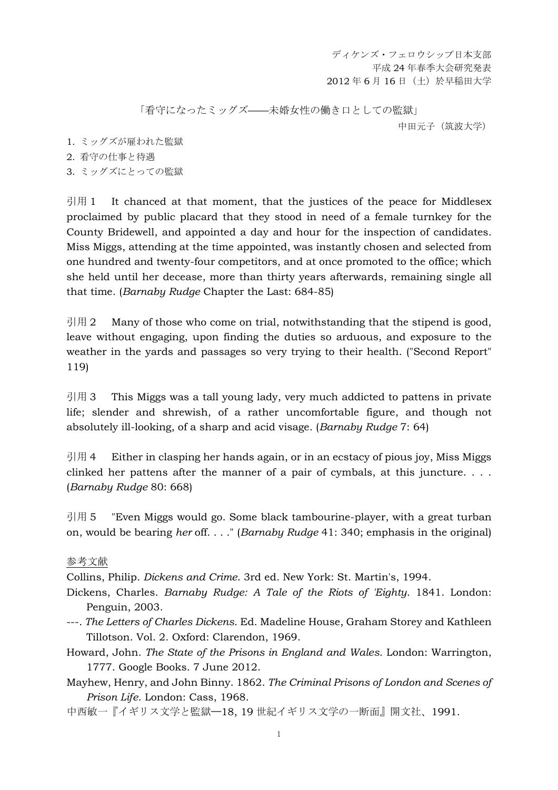ディケンズ・フェロウシップ日本支部 平成 24 年春季大会研究発表 2012 年 6 月 16 日(土)於早稲田大学

「看守になったミッグズ––未婚女性の働き口としての監獄」

中田元子(筑波大学)

- 1. ミッグズが雇われた監獄
- 2. 看守の仕事と待遇
- 3. ミッグズにとっての監獄

引用 1 It chanced at that moment, that the justices of the peace for Middlesex proclaimed by public placard that they stood in need of a female turnkey for the County Bridewell, and appointed a day and hour for the inspection of candidates. Miss Miggs, attending at the time appointed, was instantly chosen and selected from one hundred and twenty-four competitors, and at once promoted to the office; which she held until her decease, more than thirty years afterwards, remaining single all that time. (*Barnaby Rudge* Chapter the Last: 684-85)

引用 2 Many of those who come on trial, notwithstanding that the stipend is good, leave without engaging, upon finding the duties so arduous, and exposure to the weather in the yards and passages so very trying to their health. ("Second Report" 119)

引用 3 This Miggs was a tall young lady, very much addicted to pattens in private life; slender and shrewish, of a rather uncomfortable figure, and though not absolutely ill-looking, of a sharp and acid visage. (*Barnaby Rudge* 7: 64)

引用 4 Either in clasping her hands again, or in an ecstacy of pious joy, Miss Miggs clinked her pattens after the manner of a pair of cymbals, at this juncture. . . . (*Barnaby Rudge* 80: 668)

引用 5 Teven Miggs would go. Some black tambourine-player, with a great turban on, would be bearing *her* off. . . ." (*Barnaby Rudge* 41: 340; emphasis in the original)

## 参考文献

Collins, Philip. *Dickens and Crime*. 3rd ed. New York: St. Martin's, 1994.

- Dickens, Charles. *Barnaby Rudge: A Tale of the Riots of 'Eighty*. 1841. London: Penguin, 2003.
- ---. *The Letters of Charles Dickens*. Ed. Madeline House, Graham Storey and Kathleen Tillotson. Vol. 2. Oxford: Clarendon, 1969.
- Howard, John. *The State of the Prisons in England and Wales*. London: Warrington, 1777. Google Books. 7 June 2012.

Mayhew, Henry, and John Binny. 1862. *The Criminal Prisons of London and Scenes of Prison Life*. London: Cass, 1968.

中西敏一『イギリス文学と監獄——18, 19 世紀イギリス文学の一断面』開文社、1991.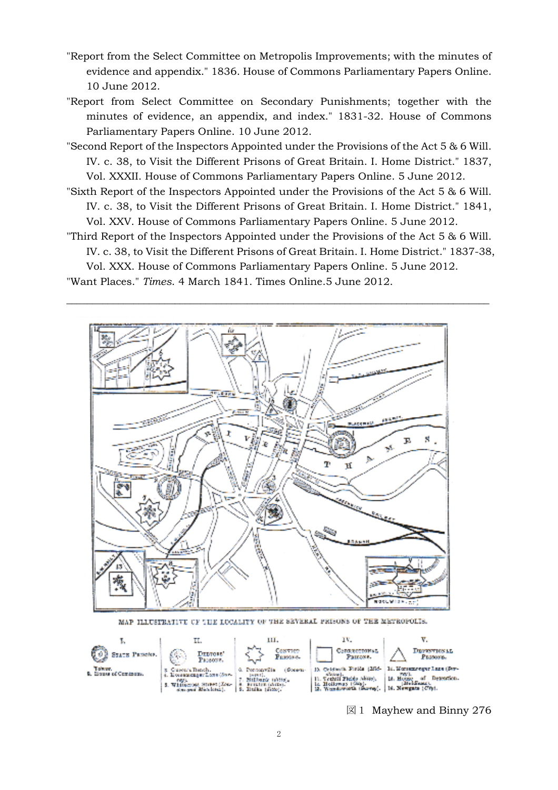- "Report from the Select Committee on Metropolis Improvements; with the minutes of evidence and appendix." 1836. House of Commons Parliamentary Papers Online. 10 June 2012.
- "Report from Select Committee on Secondary Punishments; together with the minutes of evidence, an appendix, and index." 1831-32. House of Commons Parliamentary Papers Online. 10 June 2012.
- "Second Report of the Inspectors Appointed under the Provisions of the Act 5 & 6 Will. IV. c. 38, to Visit the Different Prisons of Great Britain. I. Home District." 1837, Vol. XXXII. House of Commons Parliamentary Papers Online. 5 June 2012.
- "Sixth Report of the Inspectors Appointed under the Provisions of the Act 5 & 6 Will.
- IV. c. 38, to Visit the Different Prisons of Great Britain. I. Home District." 1841, Vol. XXV. House of Commons Parliamentary Papers Online. 5 June 2012.
- "Third Report of the Inspectors Appointed under the Provisions of the Act 5 & 6 Will.

\_\_\_\_\_\_\_\_\_\_\_\_\_\_\_\_\_\_\_\_\_\_\_\_\_\_\_\_\_\_\_\_\_\_\_\_\_\_\_\_\_\_\_\_\_\_\_\_\_\_\_\_\_\_\_\_\_\_\_\_\_\_\_\_\_\_\_\_\_\_\_\_\_\_\_\_\_\_\_\_\_\_

IV. c. 38, to Visit the Different Prisons of Great Britain. I. Home District." 1837-38,

Vol. XXX. House of Commons Parliamentary Papers Online. 5 June 2012. "Want Places." *Times*. 4 March 1841. Times Online.5 June 2012.



MAP ILLUSTRATIVE OF THE LOCALITY OF THE SEVERAL PRISONS OF THE METROPOLIS.



図1 Mayhew and Binny 276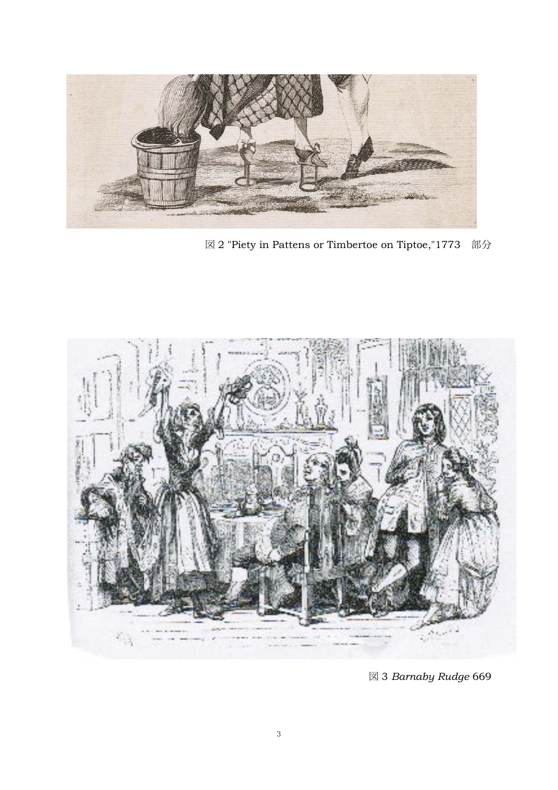

図 2 "Piety in Pattens or Timbertoe on Tiptoe,"1773 部分



図 3 *Barnaby Rudge* 669